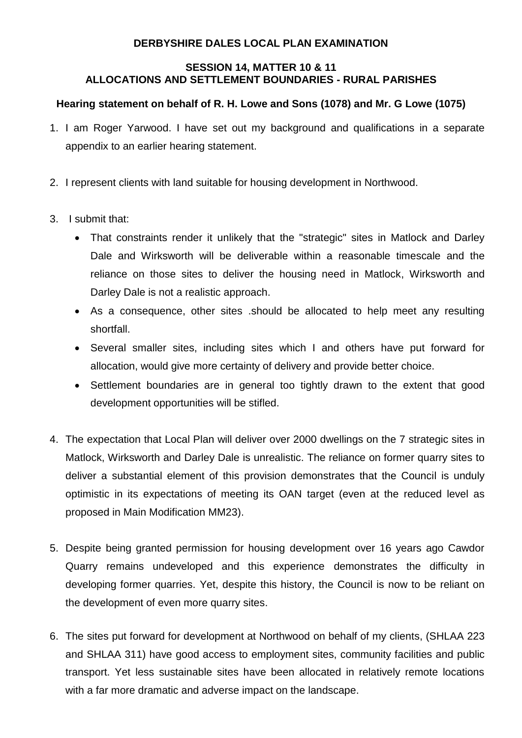## **DERBYSHIRE DALES LOCAL PLAN EXAMINATION**

## **SESSION 14, MATTER 10 & 11 ALLOCATIONS AND SETTLEMENT BOUNDARIES - RURAL PARISHES**

## **Hearing statement on behalf of R. H. Lowe and Sons (1078) and Mr. G Lowe (1075)**

- 1. I am Roger Yarwood. I have set out my background and qualifications in a separate appendix to an earlier hearing statement.
- 2. I represent clients with land suitable for housing development in Northwood.
- 3. I submit that:
	- That constraints render it unlikely that the "strategic" sites in Matlock and Darley Dale and Wirksworth will be deliverable within a reasonable timescale and the reliance on those sites to deliver the housing need in Matlock, Wirksworth and Darley Dale is not a realistic approach.
	- As a consequence, other sites .should be allocated to help meet any resulting shortfall.
	- Several smaller sites, including sites which I and others have put forward for allocation, would give more certainty of delivery and provide better choice.
	- Settlement boundaries are in general too tightly drawn to the extent that good development opportunities will be stifled.
- 4. The expectation that Local Plan will deliver over 2000 dwellings on the 7 strategic sites in Matlock, Wirksworth and Darley Dale is unrealistic. The reliance on former quarry sites to deliver a substantial element of this provision demonstrates that the Council is unduly optimistic in its expectations of meeting its OAN target (even at the reduced level as proposed in Main Modification MM23).
- 5. Despite being granted permission for housing development over 16 years ago Cawdor Quarry remains undeveloped and this experience demonstrates the difficulty in developing former quarries. Yet, despite this history, the Council is now to be reliant on the development of even more quarry sites.
- 6. The sites put forward for development at Northwood on behalf of my clients, (SHLAA 223 and SHLAA 311) have good access to employment sites, community facilities and public transport. Yet less sustainable sites have been allocated in relatively remote locations with a far more dramatic and adverse impact on the landscape.